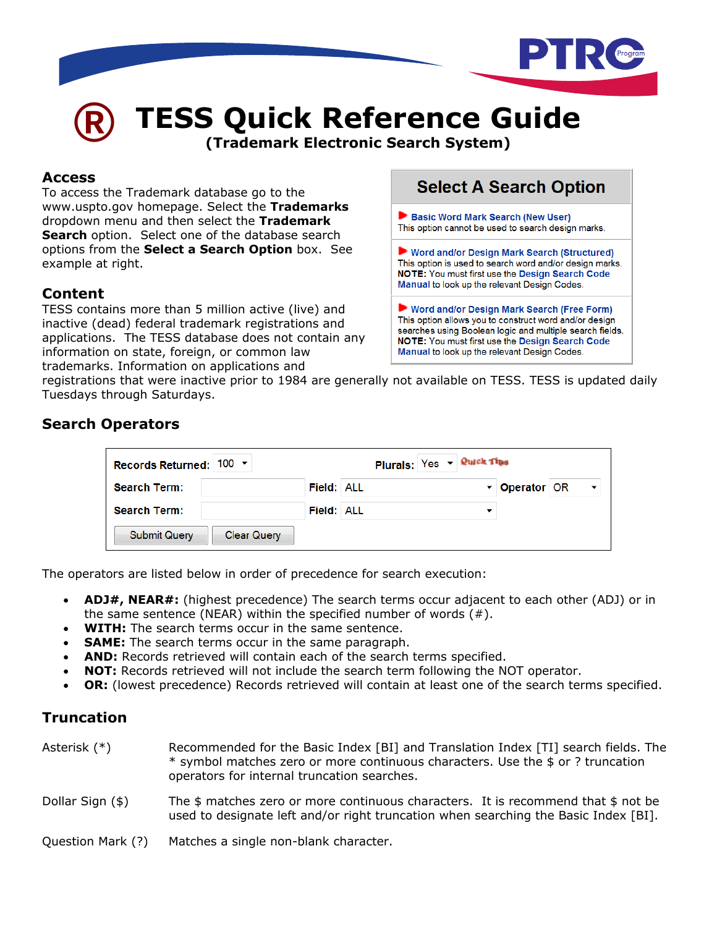

# **® TESS Quick Reference Guide**

**(Trademark Electronic Search System)** 

#### **Access**

To access the Trademark database go to the www.uspto.gov homepage. Select the **Trademarks** dropdown menu and then select the **Trademark Search** option. Select one of the database search options from the **Select a Search Option** box. See example at right.

### **Content**

TESS contains more than 5 million active (live) and inactive (dead) federal trademark registrations and applications. The TESS database does not contain any information on state, foreign, or common law trademarks. Information on applications and

# **Select A Search Option**

Basic Word Mark Search (New User) This option cannot be used to search design marks.

▶ Word and/or Design Mark Search (Structured) This option is used to search word and/or design marks. NOTE: You must first use the Design Search Code Manual to look up the relevant Design Codes.

Word and/or Design Mark Search (Free Form) This option allows you to construct word and/or design searches using Boolean logic and multiple search fields. NOTE: You must first use the Design Search Code Manual to look up the relevant Design Codes.

registrations that were inactive prior to 1984 are generally not available on TESS. TESS is updated daily Tuesdays through Saturdays.

# **Search Operators**

| Records Returned: $100 - 7$               |                   | Plurals: $Yes -$ Quick Tips |            |                          |
|-------------------------------------------|-------------------|-----------------------------|------------|--------------------------|
| <b>Search Term:</b>                       | <b>Field: ALL</b> |                             | Derator OR | $\overline{\phantom{a}}$ |
| <b>Search Term:</b>                       | <b>Field: ALL</b> |                             |            |                          |
| <b>Submit Query</b><br><b>Clear Query</b> |                   |                             |            |                          |

The operators are listed below in order of precedence for search execution:

- **ADJ#, NEAR#:** (highest precedence) The search terms occur adjacent to each other (ADJ) or in the same sentence (NEAR) within the specified number of words  $(#).$
- **WITH:** The search terms occur in the same sentence.
- **SAME:** The search terms occur in the same paragraph.
- AND: Records retrieved will contain each of the search terms specified.
- **NOT:** Records retrieved will not include the search term following the NOT operator.
- **OR:** (lowest precedence) Records retrieved will contain at least one of the search terms specified.

## **Truncation**

- Asterisk (\*) Recommended for the Basic Index [BI] and Translation Index [TI] search fields. The  $*$  symbol matches zero or more continuous characters. Use the  $$$  or ? truncation operators for internal truncation searches. Dollar Sign  $(\$)$  The  $\$$  matches zero or more continuous characters. It is recommend that  $\$$  not be used to designate left and/or right truncation when searching the Basic Index [BI].
- Question Mark (?) Matches a single non-blank character.